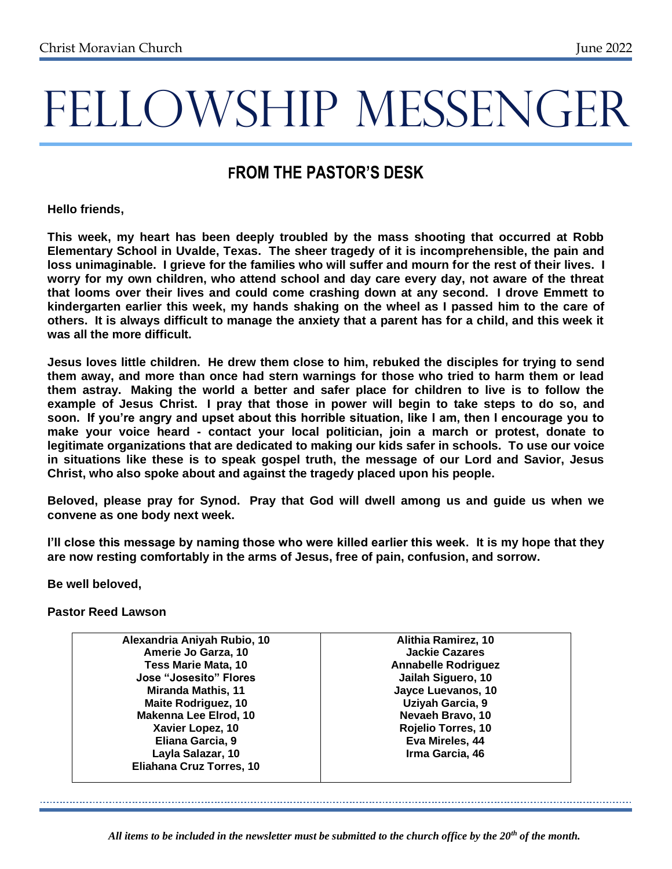# **FROM THE PASTOR'S DESK**

**Hello friends,**

**This week, my heart has been deeply troubled by the mass shooting that occurred at Robb Elementary School in Uvalde, Texas. The sheer tragedy of it is incomprehensible, the pain and loss unimaginable. I grieve for the families who will suffer and mourn for the rest of their lives. I worry for my own children, who attend school and day care every day, not aware of the threat that looms over their lives and could come crashing down at any second. I drove Emmett to kindergarten earlier this week, my hands shaking on the wheel as I passed him to the care of others. It is always difficult to manage the anxiety that a parent has for a child, and this week it was all the more difficult.**

**Jesus loves little children. He drew them close to him, rebuked the disciples for trying to send them away, and more than once had stern warnings for those who tried to harm them or lead them astray. Making the world a better and safer place for children to live is to follow the example of Jesus Christ. I pray that those in power will begin to take steps to do so, and soon. If you're angry and upset about this horrible situation, like I am, then I encourage you to make your voice heard - contact your local politician, join a march or protest, donate to legitimate organizations that are dedicated to making our kids safer in schools. To use our voice in situations like these is to speak gospel truth, the message of our Lord and Savior, Jesus Christ, who also spoke about and against the tragedy placed upon his people.**

**Beloved, please pray for Synod. Pray that God will dwell among us and guide us when we convene as one body next week.**

**I'll close this message by naming those who were killed earlier this week. It is my hope that they are now resting comfortably in the arms of Jesus, free of pain, confusion, and sorrow.**

**Be well beloved,** 

**Pastor Reed Lawson**

**Alexandria Aniyah Rubio, 10 Amerie Jo Garza, 10 Tess Marie Mata, 10 Jose "Josesito" Flores Miranda Mathis, 11 Maite Rodriguez, 10 Makenna Lee Elrod, 10 Xavier Lopez, 10 Eliana Garcia, 9 Layla Salazar, 10 Eliahana Cruz Torres, 10**

**Alithia Ramirez, 10 Jackie Cazares Annabelle Rodriguez Jailah Siguero, 10 Jayce Luevanos, 10 Uziyah Garcia, 9 Nevaeh Bravo, 10 Rojelio Torres, 10 Eva Mireles, 44 Irma Garcia, 46**

*All items to be included in the newsletter must be submitted to the church office by the 20th of the month.*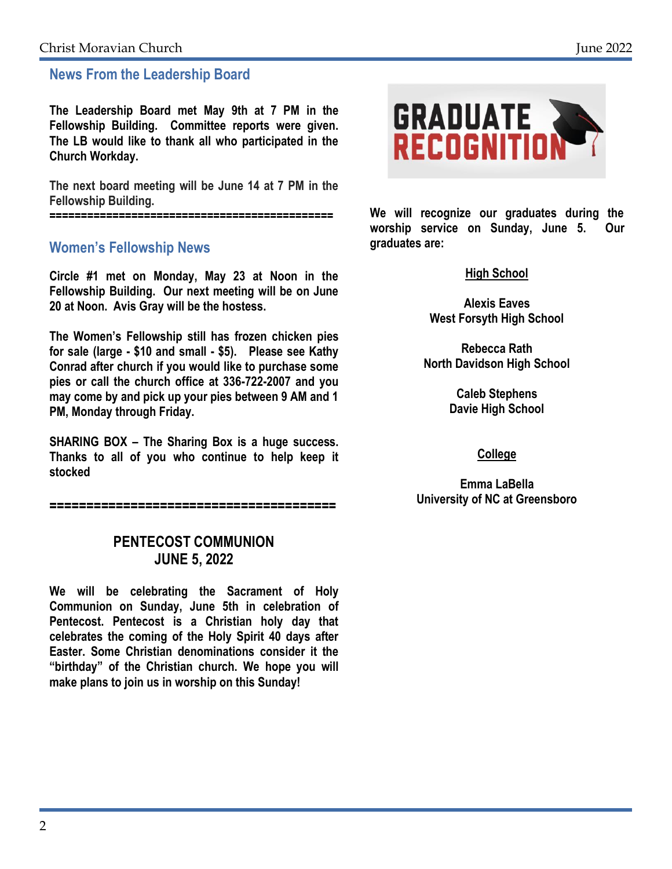## **News From the Leadership Board**

**The Leadership Board met May 9th at 7 PM in the Fellowship Building. Committee reports were given. The LB would like to thank all who participated in the Church Workday.**

**The next board meeting will be June 14 at 7 PM in the Fellowship Building.**

**=============================================**

## **Women's Fellowship News**

**Circle #1 met on Monday, May 23 at Noon in the Fellowship Building. Our next meeting will be on June 20 at Noon. Avis Gray will be the hostess.**

**The Women's Fellowship still has frozen chicken pies for sale (large - \$10 and small - \$5). Please see Kathy Conrad after church if you would like to purchase some pies or call the church office at 336-722-2007 and you may come by and pick up your pies between 9 AM and 1 PM, Monday through Friday.**

**SHARING BOX – The Sharing Box is a huge success. Thanks to all of you who continue to help keep it stocked**

**=======================================**

## **PENTECOST COMMUNION JUNE 5, 2022**

**We will be celebrating the Sacrament of Holy Communion on Sunday, June 5th in celebration of Pentecost. Pentecost is a Christian holy day that celebrates the coming of the Holy Spirit 40 days after Easter. Some Christian denominations consider it the "birthday" of the Christian church. We hope you will make plans to join us in worship on this Sunday!**



**We will recognize our graduates during the worship service on Sunday, June 5. Our graduates are:**

### **High School**

**Alexis Eaves West Forsyth High School**

**Rebecca Rath North Davidson High School**

> **Caleb Stephens Davie High School**

### **College**

**Emma LaBella University of NC at Greensboro**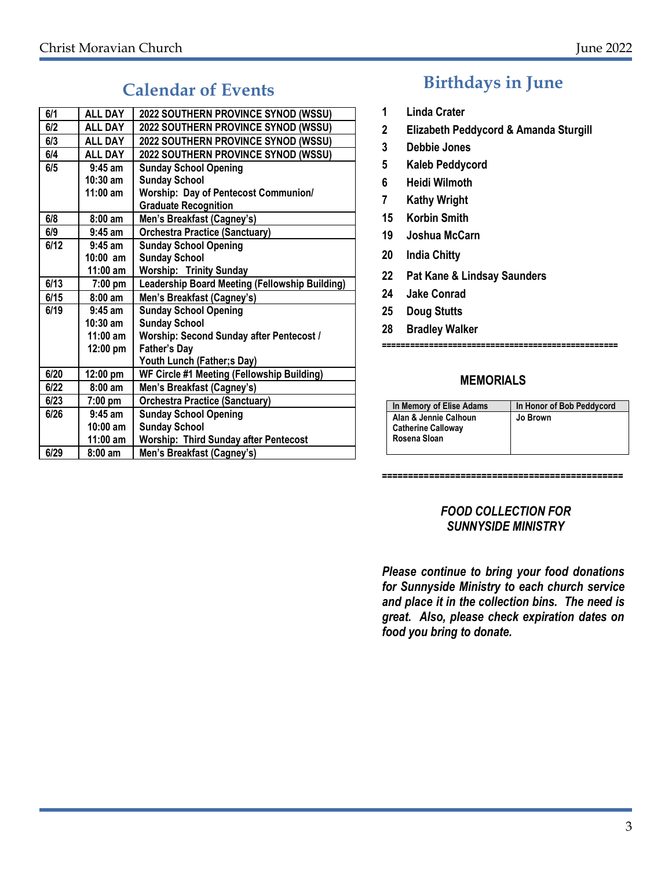# **Calendar of Events**

| 6/1  | <b>ALL DAY</b>     | 2022 SOUTHERN PROVINCE SYNOD (WSSU)            |
|------|--------------------|------------------------------------------------|
| 6/2  | <b>ALL DAY</b>     | 2022 SOUTHERN PROVINCE SYNOD (WSSU)            |
| 6/3  | <b>ALL DAY</b>     | 2022 SOUTHERN PROVINCE SYNOD (WSSU)            |
| 6/4  | <b>ALL DAY</b>     | 2022 SOUTHERN PROVINCE SYNOD (WSSU)            |
| 6/5  | $9:45$ am          | <b>Sunday School Opening</b>                   |
|      | $10:30$ am         | <b>Sunday School</b>                           |
|      | $11:00$ am         | <b>Worship: Day of Pentecost Communion/</b>    |
|      |                    | <b>Graduate Recognition</b>                    |
| 6/8  | $8:00 \text{ am}$  | Men's Breakfast (Cagney's)                     |
| 6/9  | $9:45$ am          | <b>Orchestra Practice (Sanctuary)</b>          |
| 6/12 | $9:45$ am          | <b>Sunday School Opening</b>                   |
|      | $10:00$ am         | <b>Sunday School</b>                           |
|      | $11:00$ am         | <b>Worship: Trinity Sunday</b>                 |
| 6/13 | $7:00$ pm          | Leadership Board Meeting (Fellowship Building) |
| 6/15 | $8:00$ am          | Men's Breakfast (Cagney's)                     |
| 6/19 | $9:45$ am          | <b>Sunday School Opening</b>                   |
|      | $10:30$ am         | <b>Sunday School</b>                           |
|      | $11:00$ am         | Worship: Second Sunday after Pentecost /       |
|      | 12:00 pm           | <b>Father's Day</b>                            |
|      |                    | Youth Lunch (Father;s Day)                     |
| 6/20 | $12:00 \text{ pm}$ | WF Circle #1 Meeting (Fellowship Building)     |
| 6/22 | $8:00$ am          | Men's Breakfast (Cagney's)                     |
| 6/23 | $7:00$ pm          | <b>Orchestra Practice (Sanctuary)</b>          |
| 6/26 | $9:45$ am          | <b>Sunday School Opening</b>                   |
|      | $10:00$ am         | <b>Sunday School</b>                           |
|      | $11:00$ am         | <b>Worship: Third Sunday after Pentecost</b>   |
| 6/29 | $8:00 \text{ am}$  | Men's Breakfast (Cagney's)                     |

# **Birthdays in June**

- **1 Linda Crater**
- **2 Elizabeth Peddycord & Amanda Sturgill**
- **3 Debbie Jones**
- **5 Kaleb Peddycord**
- **6 Heidi Wilmoth**
- **7 Kathy Wright**
- **15 Korbin Smith**
- **19 Joshua McCarn**
- **20 India Chitty**
- **22 Pat Kane & Lindsay Saunders**
- **24 Jake Conrad**
- **25 Doug Stutts**
- **28 Bradley Walker**

#### **==================================================**

### **MEMORIALS**

| In Memory of Elise Adams  | In Honor of Bob Peddycord |
|---------------------------|---------------------------|
| Alan & Jennie Calhoun     | Jo Brown                  |
| <b>Catherine Calloway</b> |                           |
| Rosena Sloan              |                           |
|                           |                           |

**==============================================**

### *FOOD COLLECTION FOR SUNNYSIDE MINISTRY*

*Please continue to bring your food donations for Sunnyside Ministry to each church service and place it in the collection bins. The need is great. Also, please check expiration dates on food you bring to donate.*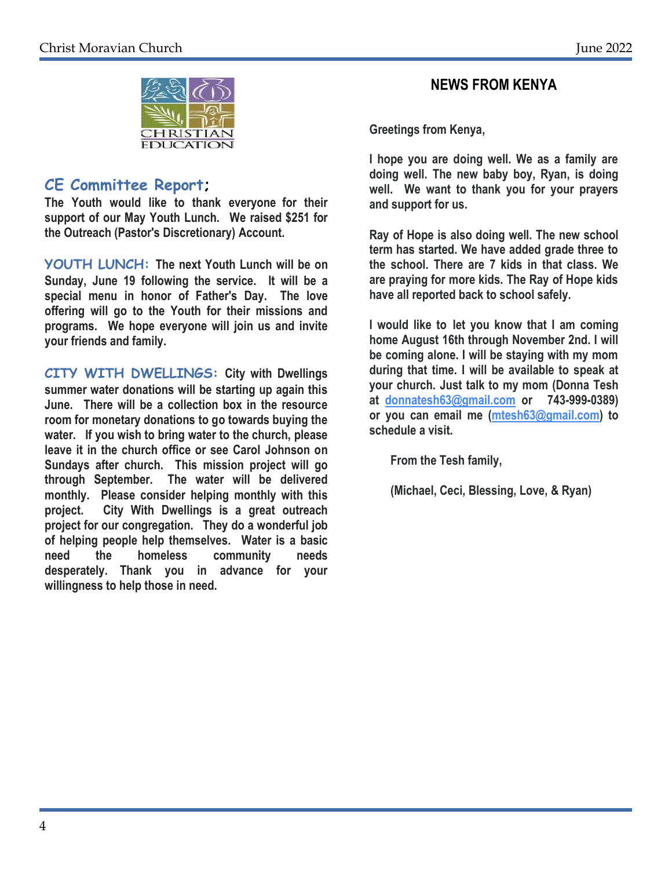

## **CE Committee Report;**

**The Youth would like to thank everyone for their support of our May Youth Lunch. We raised \$251 for the Outreach (Pastor's Discretionary) Account.**

**YOUTH LUNCH: The next Youth Lunch will be on Sunday, June 19 following the service. It will be a special menu in honor of Father's Day. The love offering will go to the Youth for their missions and programs. We hope everyone will join us and invite your friends and family.**

**CITY WITH DWELLINGS: City with Dwellings summer water donations will be starting up again this June. There will be a collection box in the resource room for monetary donations to go towards buying the water. If you wish to bring water to the church, please leave it in the church office or see Carol Johnson on Sundays after church. This mission project will go through September. The water will be delivered monthly. Please consider helping monthly with this project. City With Dwellings is a great outreach project for our congregation. They do a wonderful job of helping people help themselves. Water is a basic need the homeless community needs desperately. Thank you in advance for your willingness to help those in need.**

## **NEWS FROM KENYA**

**Greetings from Kenya,**

**I hope you are doing well. We as a family are doing well. The new baby boy, Ryan, is doing well. We want to thank you for your prayers and support for us.**

**Ray of Hope is also doing well. The new school term has started. We have added grade three to the school. There are 7 kids in that class. We are praying for more kids. The Ray of Hope kids have all reported back to school safely.**

**I would like to let you know that I am coming home August 16th through November 2nd. I will be coming alone. I will be staying with my mom during that time. I will be available to speak at your church. Just talk to my mom (Donna Tesh at [donnatesh63@gmail.com](mailto:donnatesh63@gmail.com) or 743-999-0389) or you can email me [\(mtesh63@gmail.com\)](mailto:mtesh63@gmail.com) to schedule a visit.**

 **From the Tesh family,**

 **(Michael, Ceci, Blessing, Love, & Ryan)**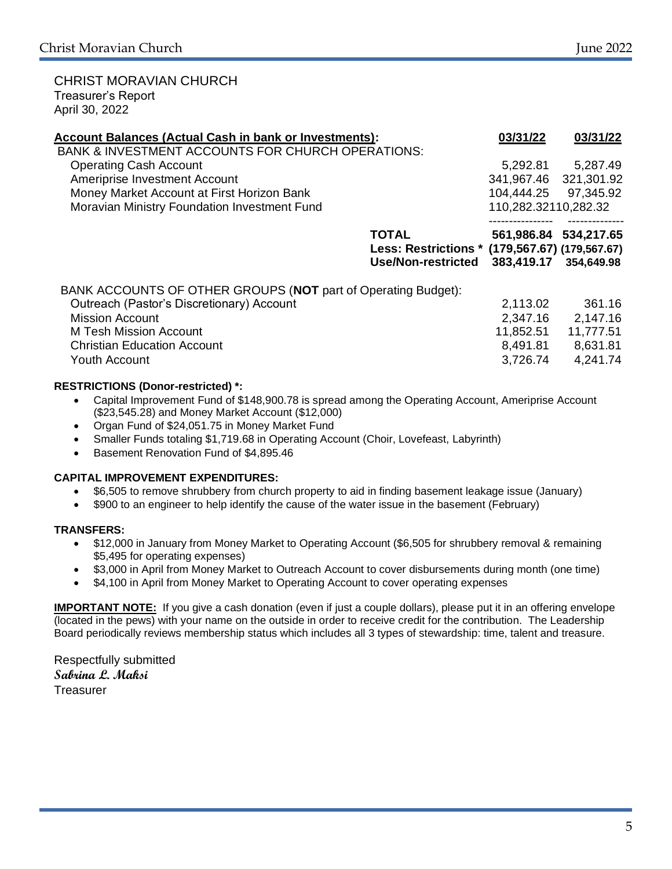#### CHRIST MORAVIAN CHURCH Treasurer's Report April 30, 2022

| <b>Account Balances (Actual Cash in bank or Investments):</b><br><b>BANK &amp; INVESTMENT ACCOUNTS FOR CHURCH OPERATIONS:</b> | 03/31/22                                                                           | 03/31/22              |
|-------------------------------------------------------------------------------------------------------------------------------|------------------------------------------------------------------------------------|-----------------------|
| <b>Operating Cash Account</b>                                                                                                 | 5,292.81                                                                           | 5,287.49              |
| Ameriprise Investment Account                                                                                                 | 341,967.46 321,301.92                                                              |                       |
| Money Market Account at First Horizon Bank                                                                                    | 104,444.25 97,345.92                                                               |                       |
| Moravian Ministry Foundation Investment Fund                                                                                  | 110,282.32110,282.32                                                               |                       |
| <b>TOTAL</b>                                                                                                                  |                                                                                    | 561,986.84 534,217.65 |
|                                                                                                                               | Less: Restrictions * (179,567.67) (179,567.67)<br>383,419.17<br>Use/Non-restricted | 354,649.98            |
| BANK ACCOUNTS OF OTHER GROUPS (NOT part of Operating Budget):                                                                 |                                                                                    |                       |
| Outreach (Pastor's Discretionary) Account                                                                                     | 2,113.02                                                                           | 361.16                |
| <b>Mission Account</b>                                                                                                        | 2,347.16                                                                           | 2,147.16              |
| <b>M Tesh Mission Account</b>                                                                                                 | 11,852.51                                                                          | 11,777.51             |
| <b>Christian Education Account</b>                                                                                            | 8,491.81                                                                           | 8,631.81              |
| <b>Youth Account</b>                                                                                                          | 3,726.74                                                                           | 4,241.74              |

### **RESTRICTIONS (Donor-restricted) \*:**

- Capital Improvement Fund of \$148,900.78 is spread among the Operating Account, Ameriprise Account (\$23,545.28) and Money Market Account (\$12,000)
- Organ Fund of \$24,051.75 in Money Market Fund
- Smaller Funds totaling \$1,719.68 in Operating Account (Choir, Lovefeast, Labyrinth)
- Basement Renovation Fund of \$4,895.46

#### **CAPITAL IMPROVEMENT EXPENDITURES:**

- \$6,505 to remove shrubbery from church property to aid in finding basement leakage issue (January)
- \$900 to an engineer to help identify the cause of the water issue in the basement (February)

#### **TRANSFERS:**

- \$12,000 in January from Money Market to Operating Account (\$6,505 for shrubbery removal & remaining \$5,495 for operating expenses)
- \$3,000 in April from Money Market to Outreach Account to cover disbursements during month (one time)
- \$4,100 in April from Money Market to Operating Account to cover operating expenses

**IMPORTANT NOTE:** If you give a cash donation (even if just a couple dollars), please put it in an offering envelope (located in the pews) with your name on the outside in order to receive credit for the contribution. The Leadership Board periodically reviews membership status which includes all 3 types of stewardship: time, talent and treasure.

Respectfully submitted **Sabrina L. Maksi Treasurer**